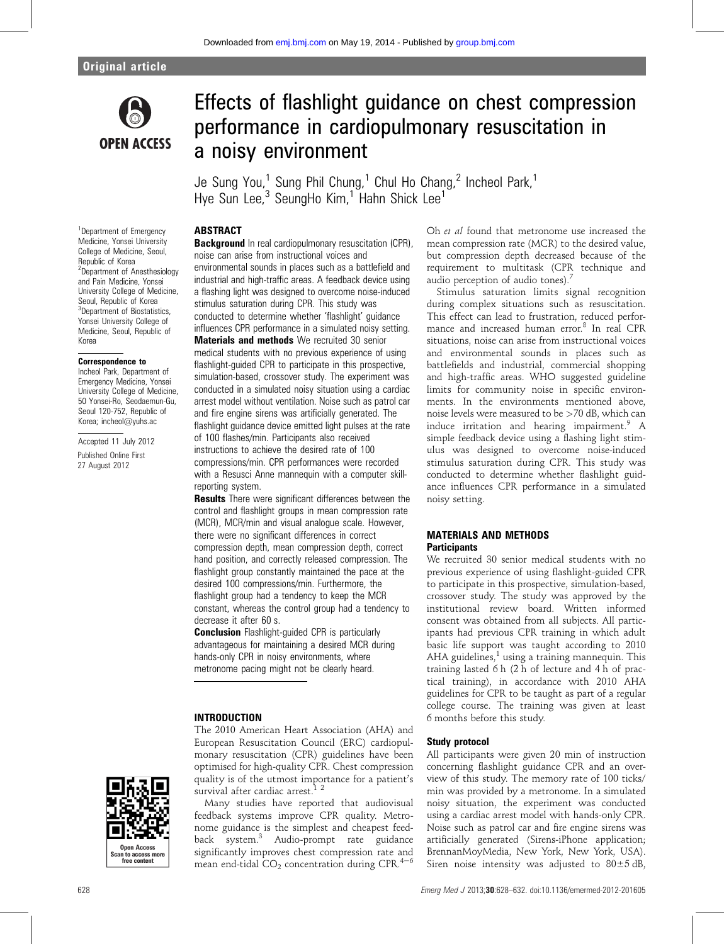

# Effects of flashlight guidance on chest compression performance in cardiopulmonary resuscitation in a noisy environment

Je Sung You,<sup>1</sup> Sung Phil Chung,<sup>1</sup> Chul Ho Chang,<sup>2</sup> Incheol Park,<sup>1</sup> Hye Sun Lee, $3$  SeungHo Kim,<sup>1</sup> Hahn Shick Lee<sup>1</sup>

# **ABSTRACT**

1 Department of Emergency Medicine, Yonsei University College of Medicine, Seoul, Republic of Korea <sup>2</sup>Department of Anesthesiology and Pain Medicine, Yonsei University College of Medicine, Seoul, Republic of Korea <sup>3</sup>Department of Biostatistics, Yonsei University College of Medicine, Seoul, Republic of Korea

#### Correspondence to

Incheol Park, Department of Emergency Medicine, Yonsei University College of Medicine, 50 Yonsei-Ro, Seodaemun-Gu, Seoul 120-752, Republic of Korea; incheol@yuhs.ac

Accepted 11 July 2012 Published Online First 27 August 2012

**Background** In real cardiopulmonary resuscitation (CPR), noise can arise from instructional voices and environmental sounds in places such as a battlefield and industrial and high-traffic areas. A feedback device using a flashing light was designed to overcome noise-induced stimulus saturation during CPR. This study was conducted to determine whether 'flashlight' guidance influences CPR performance in a simulated noisy setting.

Materials and methods We recruited 30 senior medical students with no previous experience of using flashlight-guided CPR to participate in this prospective, simulation-based, crossover study. The experiment was conducted in a simulated noisy situation using a cardiac arrest model without ventilation. Noise such as patrol car and fire engine sirens was artificially generated. The flashlight guidance device emitted light pulses at the rate of 100 flashes/min. Participants also received instructions to achieve the desired rate of 100 compressions/min. CPR performances were recorded with a Resusci Anne mannequin with a computer skillreporting system.

**Results** There were significant differences between the control and flashlight groups in mean compression rate (MCR), MCR/min and visual analogue scale. However, there were no significant differences in correct compression depth, mean compression depth, correct hand position, and correctly released compression. The flashlight group constantly maintained the pace at the desired 100 compressions/min. Furthermore, the flashlight group had a tendency to keep the MCR constant, whereas the control group had a tendency to decrease it after 60 s.

**Conclusion** Flashlight-guided CPR is particularly advantageous for maintaining a desired MCR during hands-only CPR in noisy environments, where metronome pacing might not be clearly heard.

#### INTRODUCTION

The 2010 American Heart Association (AHA) and European Resuscitation Council (ERC) cardiopulmonary resuscitation (CPR) guidelines have been optimised for high-quality CPR. Chest compression quality is of the utmost importance for a patient's survival after cardiac arrest.<sup>12</sup>

Many studies have reported that audiovisual feedback systems improve CPR quality. Metronome guidance is the simplest and cheapest feedback system.<sup>3</sup> Audio-prompt rate guidance significantly improves chest compression rate and mean end-tidal  $CO<sub>2</sub>$  concentration during CPR.<sup>4-6</sup>

Oh et al found that metronome use increased the mean compression rate (MCR) to the desired value, but compression depth decreased because of the requirement to multitask (CPR technique and audio perception of audio tones). $<sup>7</sup>$ </sup>

Stimulus saturation limits signal recognition during complex situations such as resuscitation. This effect can lead to frustration, reduced performance and increased human error.<sup>8</sup> In real CPR situations, noise can arise from instructional voices and environmental sounds in places such as battlefields and industrial, commercial shopping and high-traffic areas. WHO suggested guideline limits for community noise in specific environments. In the environments mentioned above, noise levels were measured to be >70 dB, which can induce irritation and hearing impairment.<sup>9</sup> A simple feedback device using a flashing light stimulus was designed to overcome noise-induced stimulus saturation during CPR. This study was conducted to determine whether flashlight guidance influences CPR performance in a simulated noisy setting.

# MATERIALS AND METHODS **Participants**

We recruited 30 senior medical students with no previous experience of using flashlight-guided CPR to participate in this prospective, simulation-based, crossover study. The study was approved by the institutional review board. Written informed consent was obtained from all subjects. All participants had previous CPR training in which adult basic life support was taught according to 2010 AHA guidelines, $<sup>1</sup>$  using a training mannequin. This</sup> training lasted 6 h (2 h of lecture and 4 h of practical training), in accordance with 2010 AHA guidelines for CPR to be taught as part of a regular college course. The training was given at least 6 months before this study.

#### Study protocol

All participants were given 20 min of instruction concerning flashlight guidance CPR and an overview of this study. The memory rate of 100 ticks/ min was provided by a metronome. In a simulated noisy situation, the experiment was conducted using a cardiac arrest model with hands-only CPR. Noise such as patrol car and fire engine sirens was artificially generated (Sirens-iPhone application; BrennanMoyMedia, New York, New York, USA). Siren noise intensity was adjusted to  $80 \pm 5$  dB,

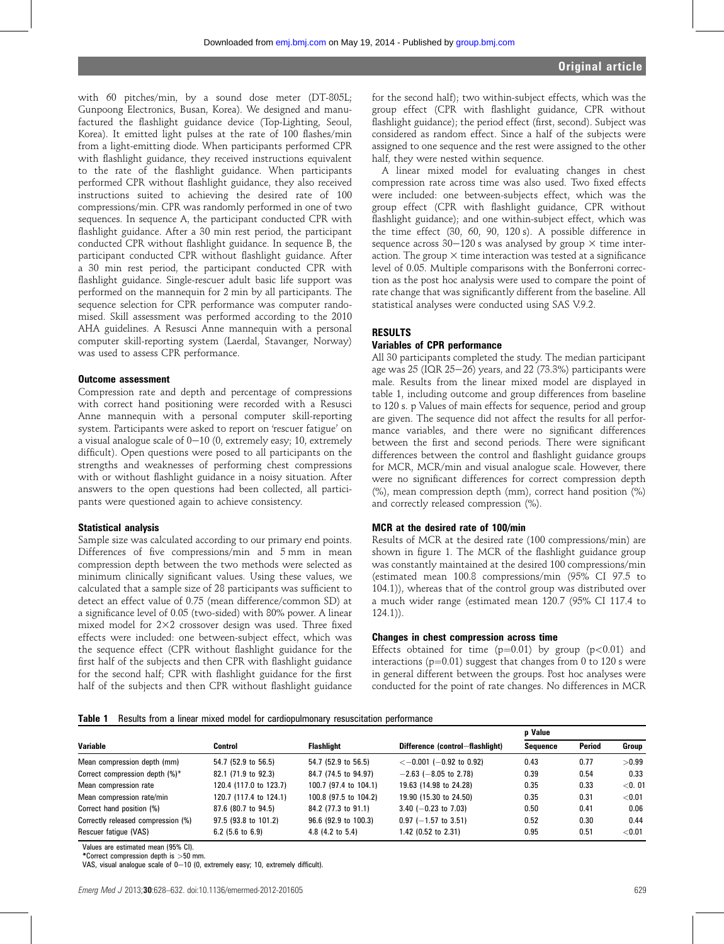with 60 pitches/min, by a sound dose meter (DT-805L; Gunpoong Electronics, Busan, Korea). We designed and manufactured the flashlight guidance device (Top-Lighting, Seoul, Korea). It emitted light pulses at the rate of 100 flashes/min from a light-emitting diode. When participants performed CPR with flashlight guidance, they received instructions equivalent to the rate of the flashlight guidance. When participants performed CPR without flashlight guidance, they also received instructions suited to achieving the desired rate of 100 compressions/min. CPR was randomly performed in one of two sequences. In sequence A, the participant conducted CPR with flashlight guidance. After a 30 min rest period, the participant conducted CPR without flashlight guidance. In sequence B, the participant conducted CPR without flashlight guidance. After a 30 min rest period, the participant conducted CPR with flashlight guidance. Single-rescuer adult basic life support was performed on the mannequin for 2 min by all participants. The sequence selection for CPR performance was computer randomised. Skill assessment was performed according to the 2010 AHA guidelines. A Resusci Anne mannequin with a personal computer skill-reporting system (Laerdal, Stavanger, Norway) was used to assess CPR performance.

#### Outcome assessment

Compression rate and depth and percentage of compressions with correct hand positioning were recorded with a Resusci Anne mannequin with a personal computer skill-reporting system. Participants were asked to report on 'rescuer fatigue' on a visual analogue scale of  $0-10$  (0, extremely easy; 10, extremely difficult). Open questions were posed to all participants on the strengths and weaknesses of performing chest compressions with or without flashlight guidance in a noisy situation. After answers to the open questions had been collected, all participants were questioned again to achieve consistency.

#### Statistical analysis

Sample size was calculated according to our primary end points. Differences of five compressions/min and 5 mm in mean compression depth between the two methods were selected as minimum clinically significant values. Using these values, we calculated that a sample size of 28 participants was sufficient to detect an effect value of 0.75 (mean difference/common SD) at a significance level of 0.05 (two-sided) with 80% power. A linear mixed model for  $2\times2$  crossover design was used. Three fixed effects were included: one between-subject effect, which was the sequence effect (CPR without flashlight guidance for the first half of the subjects and then CPR with flashlight guidance for the second half; CPR with flashlight guidance for the first half of the subjects and then CPR without flashlight guidance

for the second half); two within-subject effects, which was the group effect (CPR with flashlight guidance, CPR without flashlight guidance); the period effect (first, second). Subject was considered as random effect. Since a half of the subjects were assigned to one sequence and the rest were assigned to the other half, they were nested within sequence.

A linear mixed model for evaluating changes in chest compression rate across time was also used. Two fixed effects were included: one between-subjects effect, which was the group effect (CPR with flashlight guidance, CPR without flashlight guidance); and one within-subject effect, which was the time effect (30, 60, 90, 120 s). A possible difference in sequence across  $30-120$  s was analysed by group  $\times$  time interaction. The group  $\times$  time interaction was tested at a significance level of 0.05. Multiple comparisons with the Bonferroni correction as the post hoc analysis were used to compare the point of rate change that was significantly different from the baseline. All statistical analyses were conducted using SAS V.9.2.

#### RESULTS

# Variables of CPR performance

All 30 participants completed the study. The median participant age was  $25$  (IQR  $25-26$ ) years, and  $22$  (73.3%) participants were male. Results from the linear mixed model are displayed in table 1, including outcome and group differences from baseline to 120 s. p Values of main effects for sequence, period and group are given. The sequence did not affect the results for all performance variables, and there were no significant differences between the first and second periods. There were significant differences between the control and flashlight guidance groups for MCR, MCR/min and visual analogue scale. However, there were no significant differences for correct compression depth (%), mean compression depth (mm), correct hand position (%) and correctly released compression (%).

#### MCR at the desired rate of 100/min

Results of MCR at the desired rate (100 compressions/min) are shown in figure 1. The MCR of the flashlight guidance group was constantly maintained at the desired 100 compressions/min (estimated mean 100.8 compressions/min (95% CI 97.5 to 104.1)), whereas that of the control group was distributed over a much wider range (estimated mean 120.7 (95% CI 117.4 to  $124.1)$ ).

# Changes in chest compression across time

Effects obtained for time  $(p=0.01)$  by group  $(p<0.01)$  and interactions ( $p=0.01$ ) suggest that changes from 0 to 120 s were in general different between the groups. Post hoc analyses were conducted for the point of rate changes. No differences in MCR

#### Table 1 Results from a linear mixed model for cardiopulmonary resuscitation performance

| Variable                           | Control                | Flashlight                  | Difference (control-flashlight) | p Value  |        |          |
|------------------------------------|------------------------|-----------------------------|---------------------------------|----------|--------|----------|
|                                    |                        |                             |                                 | Sequence | Period | Group    |
| Mean compression depth (mm)        | 54.7 (52.9 to 56.5)    | 54.7 (52.9 to 56.5)         | $<-0.001$ (-0.92 to 0.92)       | 0.43     | 0.77   | >0.99    |
| Correct compression depth (%)*     | 82.1 (71.9 to 92.3)    | 84.7 (74.5 to 94.97)        | $-2.63$ ( $-8.05$ to 2.78)      | 0.39     | 0.54   | 0.33     |
| Mean compression rate              | 120.4 (117.0 to 123.7) | 100.7 (97.4 to 104.1)       | 19.63 (14.98 to 24.28)          | 0.35     | 0.33   | $<$ 0.01 |
| Mean compression rate/min          | 120.7 (117.4 to 124.1) | 100.8 (97.5 to 104.2)       | 19.90 (15.30 to 24.50)          | 0.35     | 0.31   | < 0.01   |
| Correct hand position (%)          | 87.6 (80.7 to 94.5)    | 84.2 (77.3 to 91.1)         | 3.40 $(-0.23$ to 7.03)          | 0.50     | 0.41   | 0.06     |
| Correctly released compression (%) | $97.5$ (93.8 to 101.2) | 96.6 (92.9 to 100.3)        | $0.97$ (-1.57 to 3.51)          | 0.52     | 0.30   | 0.44     |
| Rescuer fatique (VAS)              | $6.2$ (5.6 to 6.9)     | 4.8 $(4.2 \text{ to } 5.4)$ | 1.42 (0.52 to 2.31)             | 0.95     | 0.51   | $<$ 0.01 |

Values are estimated mean (95% CI).

\*Correct compression depth is >50 mm.

VAS, visual analogue scale of  $0-10$  (0, extremely easy; 10, extremely difficult).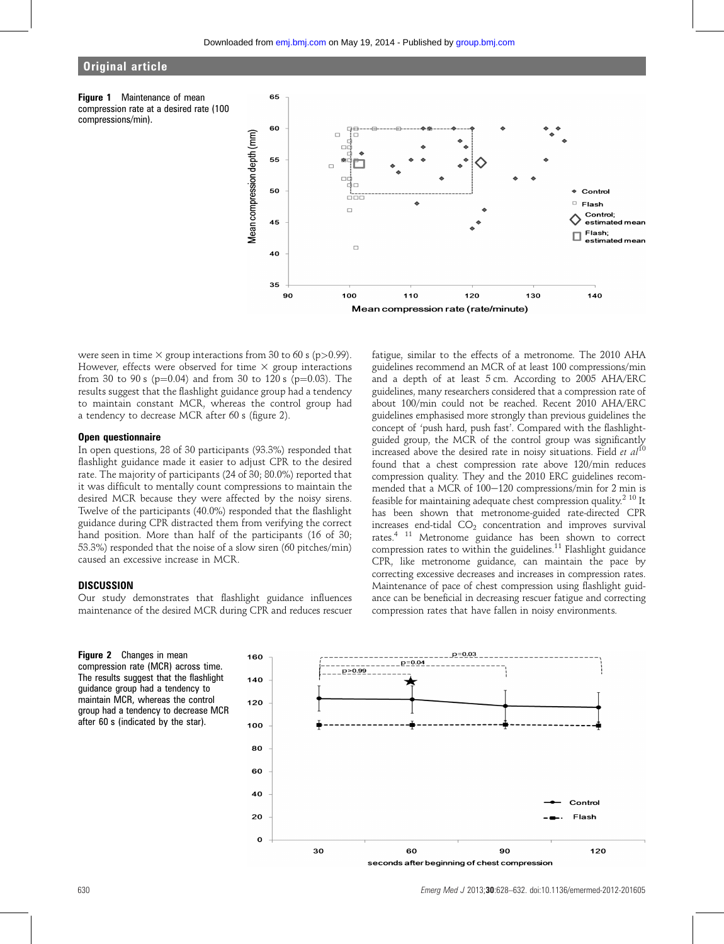#### **Original article**

Figure 1 Maintenance of mean compression rate at a desired rate (100 compressions/min).



were seen in time  $\times$  group interactions from 30 to 60 s (p>0.99). However, effects were observed for time  $\times$  group interactions from 30 to 90 s (p=0.04) and from 30 to 120 s (p=0.03). The results suggest that the flashlight guidance group had a tendency to maintain constant MCR, whereas the control group had a tendency to decrease MCR after 60 s (figure 2).

# Open questionnaire

In open questions, 28 of 30 participants (93.3%) responded that flashlight guidance made it easier to adjust CPR to the desired rate. The majority of participants (24 of 30; 80.0%) reported that it was difficult to mentally count compressions to maintain the desired MCR because they were affected by the noisy sirens. Twelve of the participants (40.0%) responded that the flashlight guidance during CPR distracted them from verifying the correct hand position. More than half of the participants (16 of 30; 53.3%) responded that the noise of a slow siren (60 pitches/min) caused an excessive increase in MCR.

# **DISCUSSION**

Our study demonstrates that flashlight guidance influences maintenance of the desired MCR during CPR and reduces rescuer

fatigue, similar to the effects of a metronome. The 2010 AHA guidelines recommend an MCR of at least 100 compressions/min and a depth of at least 5 cm. According to 2005 AHA/ERC guidelines, many researchers considered that a compression rate of about 100/min could not be reached. Recent 2010 AHA/ERC guidelines emphasised more strongly than previous guidelines the concept of 'push hard, push fast'. Compared with the flashlightguided group, the MCR of the control group was significantly increased above the desired rate in noisy situations. Field et  $al^{10}$ found that a chest compression rate above 120/min reduces compression quality. They and the 2010 ERC guidelines recommended that a MCR of  $100-120$  compressions/min for 2 min is feasible for maintaining adequate chest compression quality.<sup>2 10</sup> It has been shown that metronome-guided rate-directed CPR increases end-tidal  $CO<sub>2</sub>$  concentration and improves survival rates.4 11 Metronome guidance has been shown to correct compression rates to within the guidelines.<sup>11</sup> Flashlight guidance CPR, like metronome guidance, can maintain the pace by correcting excessive decreases and increases in compression rates. Maintenance of pace of chest compression using flashlight guidance can be beneficial in decreasing rescuer fatigue and correcting compression rates that have fallen in noisy environments.

Figure 2 Changes in mean compression rate (MCR) across time. The results suggest that the flashlight guidance group had a tendency to maintain MCR, whereas the control group had a tendency to decrease MCR after 60 s (indicated by the star).

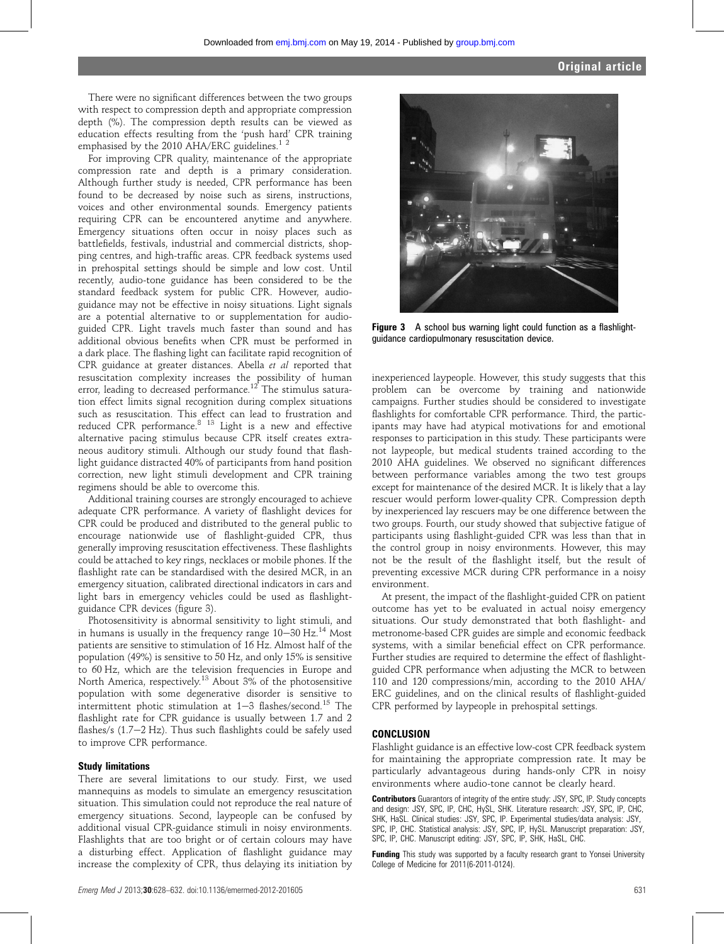There were no significant differences between the two groups with respect to compression depth and appropriate compression depth (%). The compression depth results can be viewed as education effects resulting from the 'push hard' CPR training emphasised by the 2010 AHA/ERC guidelines.<sup>12</sup>

For improving CPR quality, maintenance of the appropriate compression rate and depth is a primary consideration. Although further study is needed, CPR performance has been found to be decreased by noise such as sirens, instructions, voices and other environmental sounds. Emergency patients requiring CPR can be encountered anytime and anywhere. Emergency situations often occur in noisy places such as battlefields, festivals, industrial and commercial districts, shopping centres, and high-traffic areas. CPR feedback systems used in prehospital settings should be simple and low cost. Until recently, audio-tone guidance has been considered to be the standard feedback system for public CPR. However, audioguidance may not be effective in noisy situations. Light signals are a potential alternative to or supplementation for audioguided CPR. Light travels much faster than sound and has additional obvious benefits when CPR must be performed in a dark place. The flashing light can facilitate rapid recognition of CPR guidance at greater distances. Abella et al reported that resuscitation complexity increases the possibility of human error, leading to decreased performance.<sup>12</sup> The stimulus saturation effect limits signal recognition during complex situations such as resuscitation. This effect can lead to frustration and reduced CPR performance.<sup>8 13</sup> Light is a new and effective alternative pacing stimulus because CPR itself creates extraneous auditory stimuli. Although our study found that flashlight guidance distracted 40% of participants from hand position correction, new light stimuli development and CPR training regimens should be able to overcome this.

Additional training courses are strongly encouraged to achieve adequate CPR performance. A variety of flashlight devices for CPR could be produced and distributed to the general public to encourage nationwide use of flashlight-guided CPR, thus generally improving resuscitation effectiveness. These flashlights could be attached to key rings, necklaces or mobile phones. If the flashlight rate can be standardised with the desired MCR, in an emergency situation, calibrated directional indicators in cars and light bars in emergency vehicles could be used as flashlightguidance CPR devices (figure 3).

Photosensitivity is abnormal sensitivity to light stimuli, and in humans is usually in the frequency range  $10-30$  Hz.<sup>14</sup> Most patients are sensitive to stimulation of 16 Hz. Almost half of the population (49%) is sensitive to 50 Hz, and only 15% is sensitive to 60 Hz, which are the television frequencies in Europe and North America, respectively.13 About 3% of the photosensitive population with some degenerative disorder is sensitive to intermittent photic stimulation at  $1-3$  flashes/second.<sup>15</sup> The flashlight rate for CPR guidance is usually between 1.7 and 2 flashes/s  $(1.7-2 Hz)$ . Thus such flashlights could be safely used to improve CPR performance.

#### Study limitations

There are several limitations to our study. First, we used mannequins as models to simulate an emergency resuscitation situation. This simulation could not reproduce the real nature of emergency situations. Second, laypeople can be confused by additional visual CPR-guidance stimuli in noisy environments. Flashlights that are too bright or of certain colours may have a disturbing effect. Application of flashlight guidance may increase the complexity of CPR, thus delaying its initiation by



Figure 3 A school bus warning light could function as a flashlightguidance cardiopulmonary resuscitation device.

inexperienced laypeople. However, this study suggests that this problem can be overcome by training and nationwide campaigns. Further studies should be considered to investigate flashlights for comfortable CPR performance. Third, the participants may have had atypical motivations for and emotional responses to participation in this study. These participants were not laypeople, but medical students trained according to the 2010 AHA guidelines. We observed no significant differences between performance variables among the two test groups except for maintenance of the desired MCR. It is likely that a lay rescuer would perform lower-quality CPR. Compression depth by inexperienced lay rescuers may be one difference between the two groups. Fourth, our study showed that subjective fatigue of participants using flashlight-guided CPR was less than that in the control group in noisy environments. However, this may not be the result of the flashlight itself, but the result of preventing excessive MCR during CPR performance in a noisy environment.

At present, the impact of the flashlight-guided CPR on patient outcome has yet to be evaluated in actual noisy emergency situations. Our study demonstrated that both flashlight- and metronome-based CPR guides are simple and economic feedback systems, with a similar beneficial effect on CPR performance. Further studies are required to determine the effect of flashlightguided CPR performance when adjusting the MCR to between 110 and 120 compressions/min, according to the 2010 AHA/ ERC guidelines, and on the clinical results of flashlight-guided CPR performed by laypeople in prehospital settings.

#### **CONCLUSION**

Flashlight guidance is an effective low-cost CPR feedback system for maintaining the appropriate compression rate. It may be particularly advantageous during hands-only CPR in noisy environments where audio-tone cannot be clearly heard.

Contributors Guarantors of integrity of the entire study: JSY, SPC, IP. Study concepts and design: JSY, SPC, IP, CHC, HySL, SHK. Literature research: JSY, SPC, IP, CHC, SHK, HaSL. Clinical studies: JSY, SPC, IP. Experimental studies/data analysis: JSY, SPC, IP, CHC. Statistical analysis: JSY, SPC, IP, HySL. Manuscript preparation: JSY, SPC, IP, CHC. Manuscript editing: JSY, SPC, IP, SHK, HaSL, CHC.

**Funding** This study was supported by a faculty research grant to Yonsei University College of Medicine for 2011(6-2011-0124).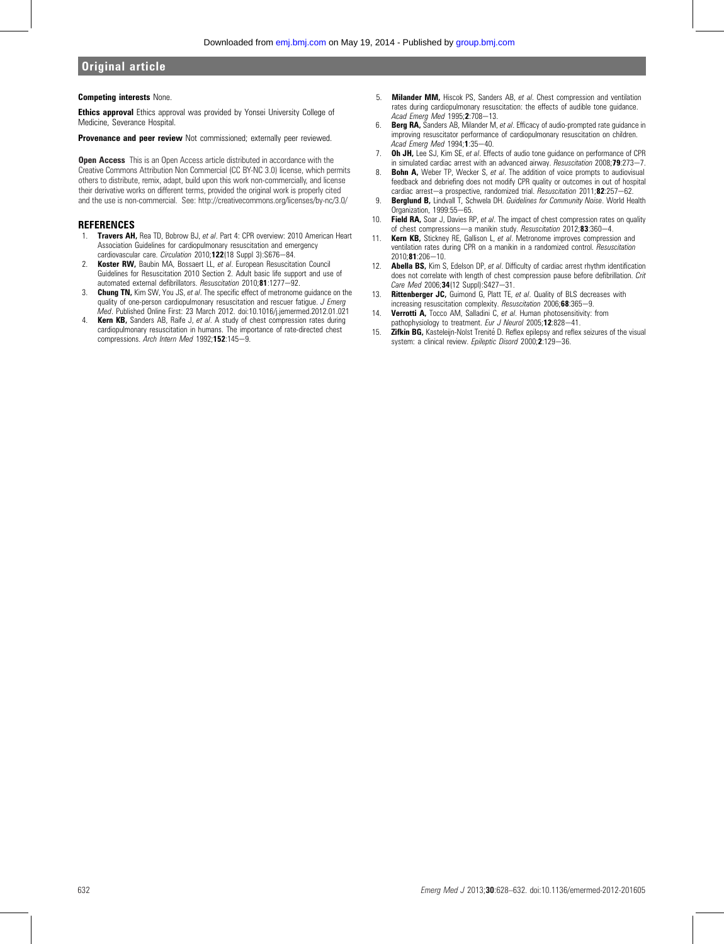# **Original article**

Competing interests None.

**Ethics approval** Ethics approval was provided by Yonsei University College of Medicine, Severance Hospital.

Provenance and peer review Not commissioned; externally peer reviewed.

**Open Access** This is an Open Access article distributed in accordance with the Creative Commons Attribution Non Commercial (CC BY-NC 3.0) license, which permits others to distribute, remix, adapt, build upon this work non-commercially, and license their derivative works on different terms, provided the original work is properly cited and the use is non-commercial. See: http://creativecommons.org/licenses/by-nc/3.0/

#### **REFERENCES**

- 1. Travers AH, Rea TD, Bobrow BJ, et al. Part 4: CPR overview: 2010 American Heart Association Guidelines for cardiopulmonary resuscitation and emergency cardiovascular care. Circulation  $2010; 122(18$  Suppl 3):S676-84.
- 2. **Koster RW, Baubin MA, Bossaert LL, et al. European Resuscitation Council** Guidelines for Resuscitation 2010 Section 2. Adult basic life support and use of automated external defibrillators. Resuscitation 2010;81:1277-92.
- 3. **Chung TN,** Kim SW, You JS, et al. The specific effect of metronome guidance on the quality of one-person cardiopulmonary resuscitation and rescuer fatigue. J Emerg Med. Published Online First: 23 March 2012. doi:10.1016/j.jemermed.2012.01.021
- 4. **Kern KB,** Sanders AB, Raife J, et al. A study of chest compression rates during cardiopulmonary resuscitation in humans. The importance of rate-directed chest compressions. Arch Intern Med  $1992;$ **152**:145-9.
- 5. Milander MM, Hiscok PS, Sanders AB, et al. Chest compression and ventilation rates during cardiopulmonary resuscitation: the effects of audible tone guidance. Acad Emerg Med 1995;2:708-13.
- 6. **Berg RA,** Sanders AB, Milander M, et al. Efficacy of audio-prompted rate guidance in improving resuscitator performance of cardiopulmonary resuscitation on children. Acad Emerg Med 1994;1:35-40.
- Oh JH, Lee SJ, Kim SE, et al. Effects of audio tone guidance on performance of CPR in simulated cardiac arrest with an advanced airway. Resuscitation 2008;79:273-7.
- 8. **Bohn A,** Weber TP, Wecker S, et al. The addition of voice prompts to audiovisual feedback and debriefing does not modify CPR quality or outcomes in out of hospital cardiac arrest-a prospective, randomized trial. Resuscitation 2011:82:257-62.
- 9. **Berglund B,** Lindvall T, Schwela DH. Guidelines for Community Noise. World Health Organization, 1999:55-65.
- 10. Field RA, Soar J, Davies RP, et al. The impact of chest compression rates on quality of chest compressions-a manikin study. Resuscitation 2012;83:360-4.
- 11. **Kern KB,** Stickney RE, Gallison L, et al. Metronome improves compression and ventilation rates during CPR on a manikin in a randomized control. Resuscitation  $2010 \cdot 81 \cdot 206 - 10$
- 12. **Abella BS,** Kim S, Edelson DP, et al. Difficulty of cardiac arrest rhythm identification does not correlate with length of chest compression pause before defibrillation. Crit Care Med 2006;  $34(12 \text{ Suppl})$ : S427-31.
- 13. Rittenberger JC, Guimond G, Platt TE, et al. Quality of BLS decreases with increasing resuscitation complexity. Resuscitation 2006;68:365-9.
- 14. Verrotti A, Tocco AM, Salladini C, et al. Human photosensitivity: from pathophysiology to treatment. Eur J Neurol 2005;12:828-41.
- 15. **Zifkin BG,** Kasteleijn-Nolst Trenité D. Reflex epilepsy and reflex seizures of the visual system: a clinical review. Epileptic Disord 2000;2:129-36.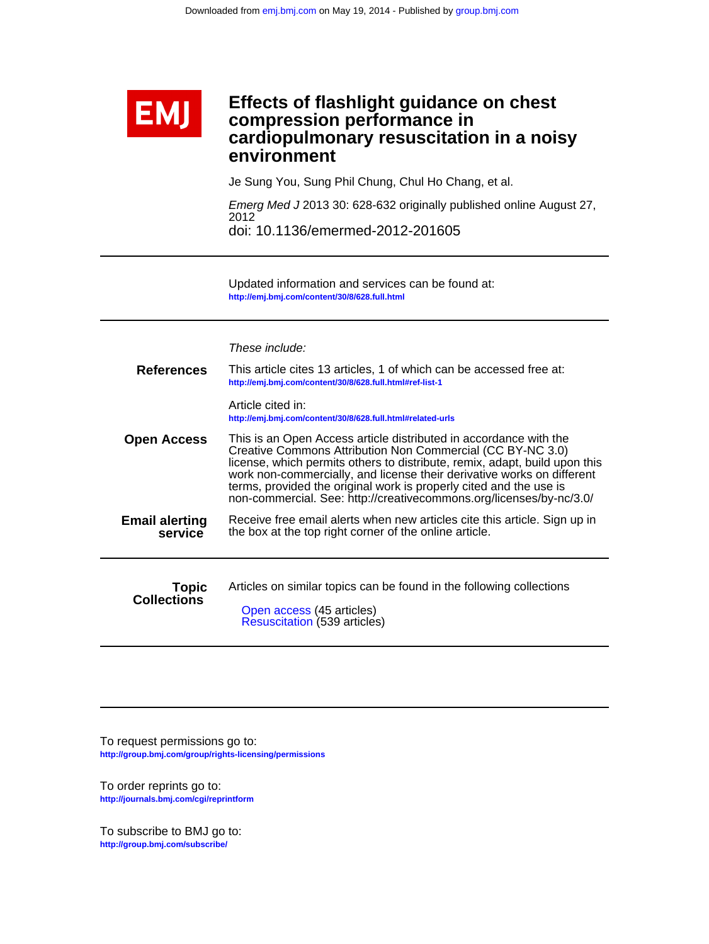# **environment cardiopulmonary resuscitation in a noisy compression performance in Effects of flashlight guidance on chest**

Je Sung You, Sung Phil Chung, Chul Ho Chang, et al.

doi: 10.1136/emermed-2012-201605 2012 Emerg Med J 2013 30: 628-632 originally published online August 27,

**<http://emj.bmj.com/content/30/8/628.full.html>** Updated information and services can be found at:

These include:

| <b>References</b>                  | This article cites 13 articles, 1 of which can be accessed free at:<br>http://emj.bmj.com/content/30/8/628.full.html#ref-list-1                                                                                                                                                                                                                                                                                                      |
|------------------------------------|--------------------------------------------------------------------------------------------------------------------------------------------------------------------------------------------------------------------------------------------------------------------------------------------------------------------------------------------------------------------------------------------------------------------------------------|
|                                    | Article cited in:<br>http://emj.bmj.com/content/30/8/628.full.html#related-urls                                                                                                                                                                                                                                                                                                                                                      |
| <b>Open Access</b>                 | This is an Open Access article distributed in accordance with the<br>Creative Commons Attribution Non Commercial (CC BY-NC 3.0)<br>license, which permits others to distribute, remix, adapt, build upon this<br>work non-commercially, and license their derivative works on different<br>terms, provided the original work is properly cited and the use is<br>non-commercial. See: http://creativecommons.org/licenses/by-nc/3.0/ |
| <b>Email alerting</b><br>service   | Receive free email alerts when new articles cite this article. Sign up in<br>the box at the top right corner of the online article.                                                                                                                                                                                                                                                                                                  |
| <b>Topic</b><br><b>Collections</b> | Articles on similar topics can be found in the following collections<br>Open access (45 articles)<br>Resuscitation (539 articles)                                                                                                                                                                                                                                                                                                    |

**<http://group.bmj.com/group/rights-licensing/permissions>** To request permissions go to:

**<http://journals.bmj.com/cgi/reprintform>** To order reprints go to:

<u>EMJ</u>

**<http://group.bmj.com/subscribe/>** To subscribe to BMJ go to: